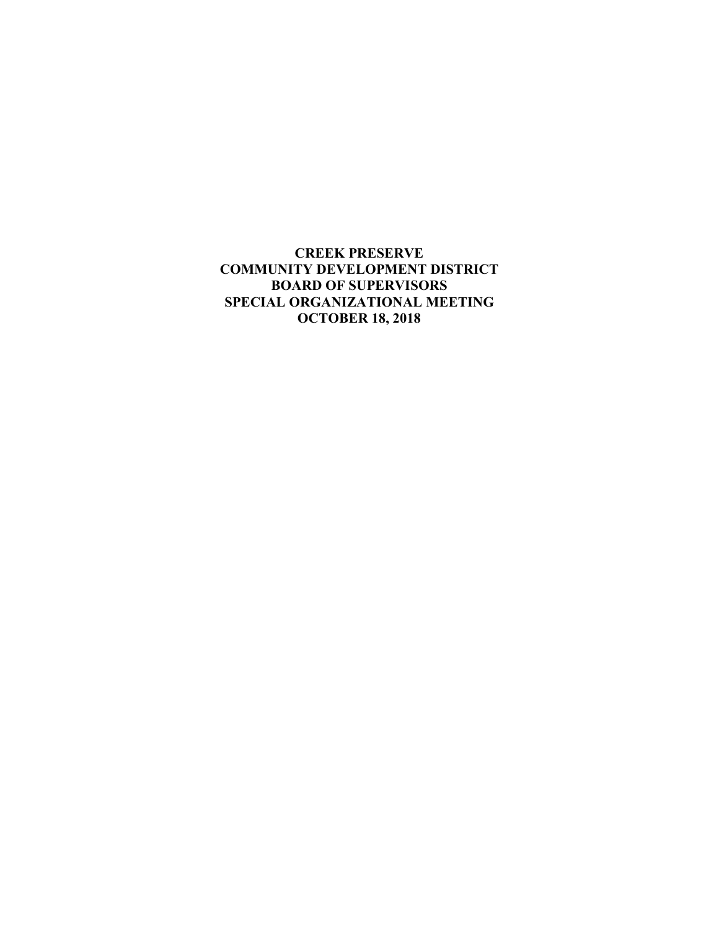**CREEK PRESERVE COMMUNITY DEVELOPMENT DISTRICT BOARD OF SUPERVISORS SPECIAL ORGANIZATIONAL MEETING OCTOBER 18, 2018**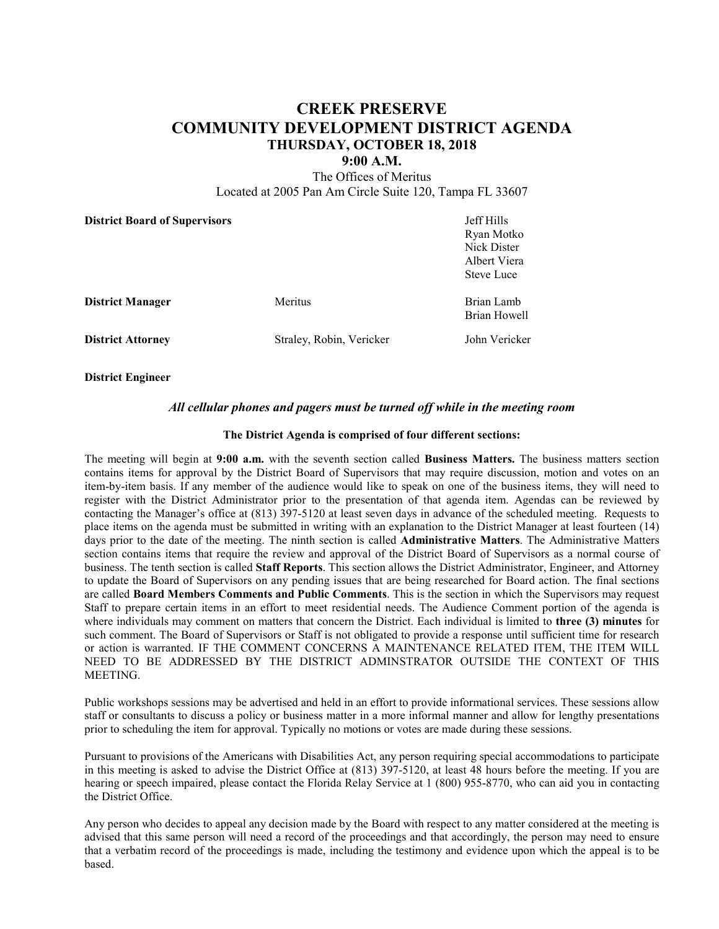# **CREEK PRESERVE COMMUNITY DEVELOPMENT DISTRICT AGENDA THURSDAY, OCTOBER 18, 2018**

### **9:00 A.M.**

The Offices of Meritus Located at 2005 Pan Am Circle Suite 120, Tampa FL 33607

| <b>District Board of Supervisors</b> |                          | Jeff Hills<br>Ryan Motko<br>Nick Dister<br>Albert Viera<br><b>Steve Luce</b> |
|--------------------------------------|--------------------------|------------------------------------------------------------------------------|
| <b>District Manager</b>              | Meritus                  | Brian Lamb<br>Brian Howell                                                   |
| <b>District Attorney</b>             | Straley, Robin, Vericker | John Vericker                                                                |

**District Engineer**

### *All cellular phones and pagers must be turned off while in the meeting room*

#### **The District Agenda is comprised of four different sections:**

The meeting will begin at **9:00 a.m.** with the seventh section called **Business Matters.** The business matters section contains items for approval by the District Board of Supervisors that may require discussion, motion and votes on an item-by-item basis. If any member of the audience would like to speak on one of the business items, they will need to register with the District Administrator prior to the presentation of that agenda item. Agendas can be reviewed by contacting the Manager's office at (813) 397-5120 at least seven days in advance of the scheduled meeting. Requests to place items on the agenda must be submitted in writing with an explanation to the District Manager at least fourteen (14) days prior to the date of the meeting. The ninth section is called **Administrative Matters**. The Administrative Matters section contains items that require the review and approval of the District Board of Supervisors as a normal course of business. The tenth section is called **Staff Reports**. This section allows the District Administrator, Engineer, and Attorney to update the Board of Supervisors on any pending issues that are being researched for Board action. The final sections are called **Board Members Comments and Public Comments**. This is the section in which the Supervisors may request Staff to prepare certain items in an effort to meet residential needs. The Audience Comment portion of the agenda is where individuals may comment on matters that concern the District. Each individual is limited to **three (3) minutes** for such comment. The Board of Supervisors or Staff is not obligated to provide a response until sufficient time for research or action is warranted. IF THE COMMENT CONCERNS A MAINTENANCE RELATED ITEM, THE ITEM WILL NEED TO BE ADDRESSED BY THE DISTRICT ADMINSTRATOR OUTSIDE THE CONTEXT OF THIS MEETING.

Public workshops sessions may be advertised and held in an effort to provide informational services. These sessions allow staff or consultants to discuss a policy or business matter in a more informal manner and allow for lengthy presentations prior to scheduling the item for approval. Typically no motions or votes are made during these sessions.

Pursuant to provisions of the Americans with Disabilities Act, any person requiring special accommodations to participate in this meeting is asked to advise the District Office at (813) 397-5120, at least 48 hours before the meeting. If you are hearing or speech impaired, please contact the Florida Relay Service at 1 (800) 955-8770, who can aid you in contacting the District Office.

Any person who decides to appeal any decision made by the Board with respect to any matter considered at the meeting is advised that this same person will need a record of the proceedings and that accordingly, the person may need to ensure that a verbatim record of the proceedings is made, including the testimony and evidence upon which the appeal is to be based.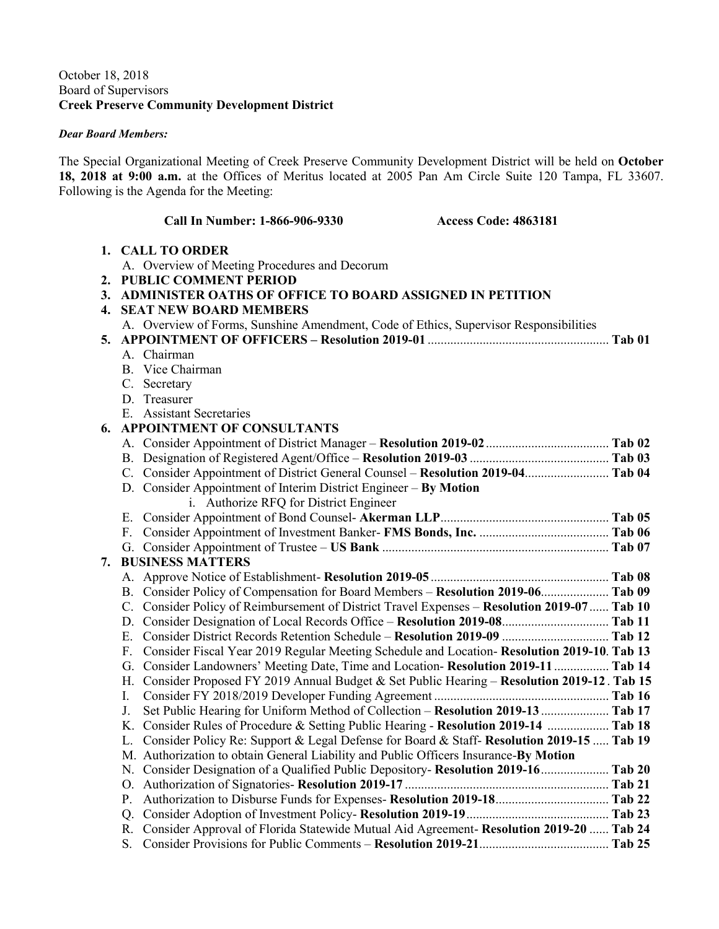# October 18, 2018 Board of Supervisors **Creek Preserve Community Development District**

## *Dear Board Members:*

The Special Organizational Meeting of Creek Preserve Community Development District will be held on **October 18, 2018 at 9:00 a.m.** at the Offices of Meritus located at 2005 Pan Am Circle Suite 120 Tampa, FL 33607. Following is the Agenda for the Meeting:

|    | Call In Number: 1-866-906-9330<br><b>Access Code: 4863181</b>                                    |        |
|----|--------------------------------------------------------------------------------------------------|--------|
|    | 1. CALL TO ORDER                                                                                 |        |
|    | A. Overview of Meeting Procedures and Decorum                                                    |        |
|    | 2. PUBLIC COMMENT PERIOD                                                                         |        |
|    | 3. ADMINISTER OATHS OF OFFICE TO BOARD ASSIGNED IN PETITION                                      |        |
|    | <b>4. SEAT NEW BOARD MEMBERS</b>                                                                 |        |
|    | A. Overview of Forms, Sunshine Amendment, Code of Ethics, Supervisor Responsibilities            |        |
| 5. |                                                                                                  |        |
|    | A. Chairman                                                                                      |        |
|    | B. Vice Chairman                                                                                 |        |
|    | C. Secretary                                                                                     |        |
|    | D. Treasurer                                                                                     |        |
|    | E. Assistant Secretaries                                                                         |        |
| 6. | <b>APPOINTMENT OF CONSULTANTS</b>                                                                |        |
|    |                                                                                                  |        |
|    |                                                                                                  |        |
|    | C. Consider Appointment of District General Counsel - Resolution 2019-04 Tab 04                  |        |
|    | D. Consider Appointment of Interim District Engineer - By Motion                                 |        |
|    | i. Authorize RFQ for District Engineer                                                           |        |
|    |                                                                                                  |        |
|    | F.                                                                                               |        |
|    |                                                                                                  |        |
| 7. | <b>BUSINESS MATTERS</b>                                                                          |        |
|    |                                                                                                  |        |
|    | B. Consider Policy of Compensation for Board Members - Resolution 2019-06 Tab 09                 |        |
|    | C. Consider Policy of Reimbursement of District Travel Expenses – Resolution 2019-07 Tab 10      |        |
|    | Е.                                                                                               |        |
|    | Consider Fiscal Year 2019 Regular Meeting Schedule and Location-Resolution 2019-10. Tab 13<br>F. |        |
|    | G. Consider Landowners' Meeting Date, Time and Location- Resolution 2019-11  Tab 14              |        |
|    | H. Consider Proposed FY 2019 Annual Budget & Set Public Hearing - Resolution 2019-12. Tab 15     |        |
|    | I.                                                                                               |        |
|    | Set Public Hearing for Uniform Method of Collection - Resolution 2019-13  Tab 17<br>J.           |        |
|    | K. Consider Rules of Procedure & Setting Public Hearing - Resolution 2019-14  Tab 18             |        |
|    | L. Consider Policy Re: Support & Legal Defense for Board & Staff- Resolution 2019-15  Tab 19     |        |
|    | M. Authorization to obtain General Liability and Public Officers Insurance-By Motion             |        |
|    | N. Consider Designation of a Qualified Public Depository- Resolution 2019-16 Tab 20              |        |
|    |                                                                                                  |        |
|    | Р.                                                                                               |        |
|    |                                                                                                  |        |
|    | R. Consider Approval of Florida Statewide Mutual Aid Agreement- Resolution 2019-20  Tab 24       |        |
|    | S.                                                                                               | Tab 25 |